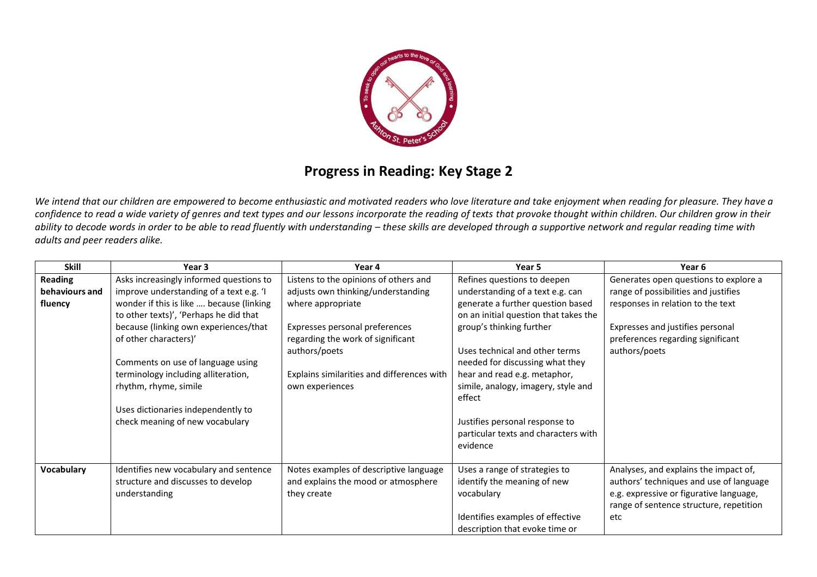

## **Progress in Reading: Key Stage 2**

We intend that our children are empowered to become enthusiastic and motivated readers who love literature and take enjoyment when reading for pleasure. They have a *confidence to read a wide variety of genres and text types and our lessons incorporate the reading of texts that provoke thought within children. Our children grow in their*  ability to decode words in order to be able to read fluently with understanding – these skills are developed through a supportive network and regular reading time with *adults and peer readers alike.* 

| <b>Skill</b>   | Year 3                                                                                            | Year 4                                                                                       | Year 5                                                                                                                                           | Year 6                                                                                                                                                                        |
|----------------|---------------------------------------------------------------------------------------------------|----------------------------------------------------------------------------------------------|--------------------------------------------------------------------------------------------------------------------------------------------------|-------------------------------------------------------------------------------------------------------------------------------------------------------------------------------|
| <b>Reading</b> | Asks increasingly informed questions to                                                           | Listens to the opinions of others and                                                        | Refines questions to deepen                                                                                                                      | Generates open questions to explore a                                                                                                                                         |
| behaviours and | improve understanding of a text e.g. 'I                                                           | adjusts own thinking/understanding                                                           | understanding of a text e.g. can                                                                                                                 | range of possibilities and justifies                                                                                                                                          |
| fluency        | wonder if this is like  because (linking<br>to other texts)', 'Perhaps he did that                | where appropriate                                                                            | generate a further question based<br>on an initial question that takes the                                                                       | responses in relation to the text                                                                                                                                             |
|                | because (linking own experiences/that<br>of other characters)'                                    | Expresses personal preferences<br>regarding the work of significant<br>authors/poets         | group's thinking further<br>Uses technical and other terms                                                                                       | Expresses and justifies personal<br>preferences regarding significant<br>authors/poets                                                                                        |
|                | Comments on use of language using<br>terminology including alliteration,<br>rhythm, rhyme, simile | Explains similarities and differences with<br>own experiences                                | needed for discussing what they<br>hear and read e.g. metaphor,<br>simile, analogy, imagery, style and<br>effect                                 |                                                                                                                                                                               |
|                | Uses dictionaries independently to<br>check meaning of new vocabulary                             |                                                                                              | Justifies personal response to<br>particular texts and characters with<br>evidence                                                               |                                                                                                                                                                               |
| Vocabulary     | Identifies new vocabulary and sentence<br>structure and discusses to develop<br>understanding     | Notes examples of descriptive language<br>and explains the mood or atmosphere<br>they create | Uses a range of strategies to<br>identify the meaning of new<br>vocabulary<br>Identifies examples of effective<br>description that evoke time or | Analyses, and explains the impact of,<br>authors' techniques and use of language<br>e.g. expressive or figurative language,<br>range of sentence structure, repetition<br>etc |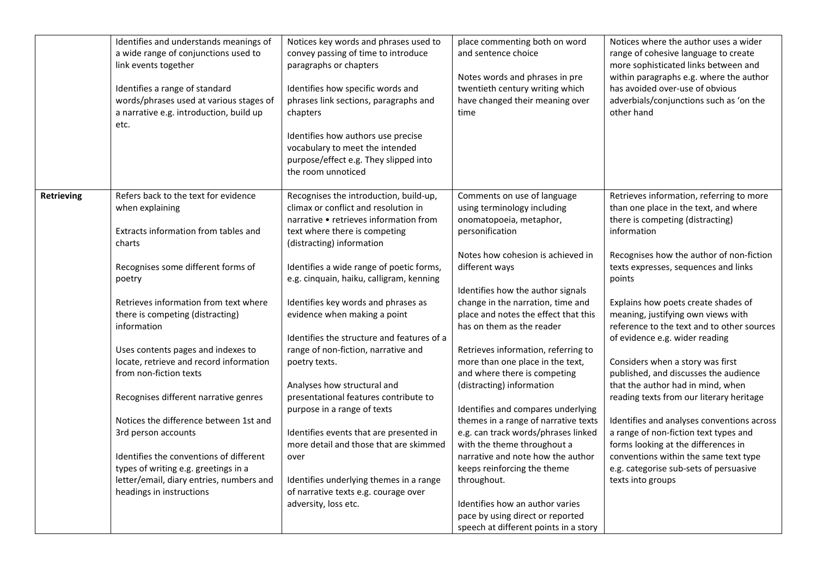| Identifies how specific words and<br>Identifies a range of standard<br>words/phrases used at various stages of<br>a narrative e.g. introduction, build up<br>chapters<br>etc.<br>the room unnoticed                                                                                                                                                                                                                                                                                                                                                                                                                                                                                                  | phrases link sections, paragraphs and<br>Identifies how authors use precise<br>vocabulary to meet the intended<br>purpose/effect e.g. They slipped into                                                                                                                                                                                                                                                                                                                                                                                                                                                                                                                                                                   | twentieth century writing which<br>have changed their meaning over<br>time                                                                                                                                                                                                                                                                                                                                                                                                                                                                                                                                                                                                                                                                                                                                    | has avoided over-use of obvious<br>adverbials/conjunctions such as 'on the<br>other hand                                                                                                                                                                                                                                                                                                                                                                                                                                                                                                                                                                                                                                                                                                            |
|------------------------------------------------------------------------------------------------------------------------------------------------------------------------------------------------------------------------------------------------------------------------------------------------------------------------------------------------------------------------------------------------------------------------------------------------------------------------------------------------------------------------------------------------------------------------------------------------------------------------------------------------------------------------------------------------------|---------------------------------------------------------------------------------------------------------------------------------------------------------------------------------------------------------------------------------------------------------------------------------------------------------------------------------------------------------------------------------------------------------------------------------------------------------------------------------------------------------------------------------------------------------------------------------------------------------------------------------------------------------------------------------------------------------------------------|---------------------------------------------------------------------------------------------------------------------------------------------------------------------------------------------------------------------------------------------------------------------------------------------------------------------------------------------------------------------------------------------------------------------------------------------------------------------------------------------------------------------------------------------------------------------------------------------------------------------------------------------------------------------------------------------------------------------------------------------------------------------------------------------------------------|-----------------------------------------------------------------------------------------------------------------------------------------------------------------------------------------------------------------------------------------------------------------------------------------------------------------------------------------------------------------------------------------------------------------------------------------------------------------------------------------------------------------------------------------------------------------------------------------------------------------------------------------------------------------------------------------------------------------------------------------------------------------------------------------------------|
| Refers back to the text for evidence<br>Retrieving<br>when explaining<br>Extracts information from tables and<br>charts<br>Recognises some different forms of<br>poetry<br>Retrieves information from text where<br>there is competing (distracting)<br>information<br>Uses contents pages and indexes to<br>locate, retrieve and record information<br>poetry texts.<br>from non-fiction texts<br>Recognises different narrative genres<br>Notices the difference between 1st and<br>3rd person accounts<br>Identifies the conventions of different<br>over<br>types of writing e.g. greetings in a<br>letter/email, diary entries, numbers and<br>headings in instructions<br>adversity, loss etc. | Recognises the introduction, build-up,<br>climax or conflict and resolution in<br>narrative • retrieves information from<br>text where there is competing<br>(distracting) information<br>Identifies a wide range of poetic forms,<br>e.g. cinquain, haiku, calligram, kenning<br>Identifies key words and phrases as<br>evidence when making a point<br>Identifies the structure and features of a<br>range of non-fiction, narrative and<br>Analyses how structural and<br>presentational features contribute to<br>purpose in a range of texts<br>Identifies events that are presented in<br>more detail and those that are skimmed<br>Identifies underlying themes in a range<br>of narrative texts e.g. courage over | Comments on use of language<br>using terminology including<br>onomatopoeia, metaphor,<br>personification<br>Notes how cohesion is achieved in<br>different ways<br>Identifies how the author signals<br>change in the narration, time and<br>place and notes the effect that this<br>has on them as the reader<br>Retrieves information, referring to<br>more than one place in the text,<br>and where there is competing<br>(distracting) information<br>Identifies and compares underlying<br>themes in a range of narrative texts<br>e.g. can track words/phrases linked<br>with the theme throughout a<br>narrative and note how the author<br>keeps reinforcing the theme<br>throughout.<br>Identifies how an author varies<br>pace by using direct or reported<br>speech at different points in a story | Retrieves information, referring to more<br>than one place in the text, and where<br>there is competing (distracting)<br>information<br>Recognises how the author of non-fiction<br>texts expresses, sequences and links<br>points<br>Explains how poets create shades of<br>meaning, justifying own views with<br>reference to the text and to other sources<br>of evidence e.g. wider reading<br>Considers when a story was first<br>published, and discusses the audience<br>that the author had in mind, when<br>reading texts from our literary heritage<br>Identifies and analyses conventions across<br>a range of non-fiction text types and<br>forms looking at the differences in<br>conventions within the same text type<br>e.g. categorise sub-sets of persuasive<br>texts into groups |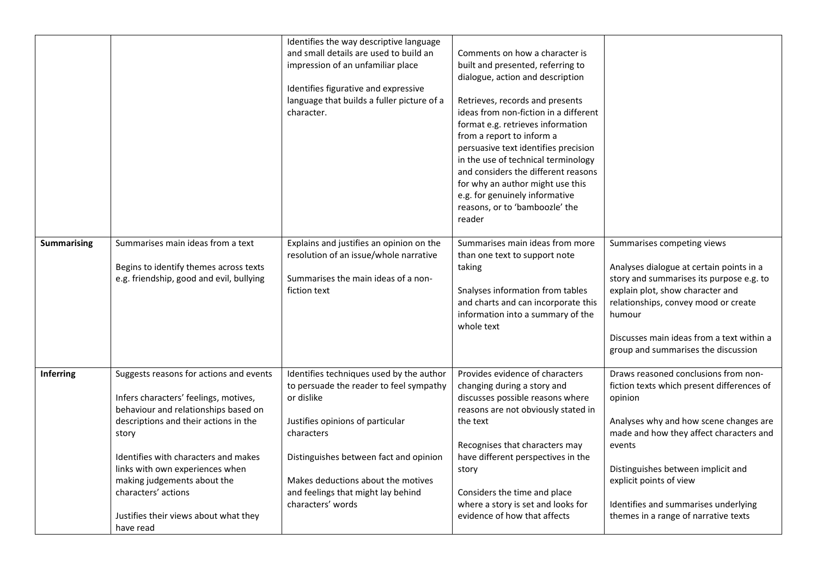| <b>Summarising</b> | Summarises main ideas from a text                                                                                                                                                                                                                                                                                                                                 | Identifies the way descriptive language<br>and small details are used to build an<br>impression of an unfamiliar place<br>Identifies figurative and expressive<br>language that builds a fuller picture of a<br>character.<br>Explains and justifies an opinion on the                         | Comments on how a character is<br>built and presented, referring to<br>dialogue, action and description<br>Retrieves, records and presents<br>ideas from non-fiction in a different<br>format e.g. retrieves information<br>from a report to inform a<br>persuasive text identifies precision<br>in the use of technical terminology<br>and considers the different reasons<br>for why an author might use this<br>e.g. for genuinely informative<br>reasons, or to 'bamboozle' the<br>reader<br>Summarises main ideas from more | Summarises competing views                                                                                                                                                                                                                                                                                                                    |
|--------------------|-------------------------------------------------------------------------------------------------------------------------------------------------------------------------------------------------------------------------------------------------------------------------------------------------------------------------------------------------------------------|------------------------------------------------------------------------------------------------------------------------------------------------------------------------------------------------------------------------------------------------------------------------------------------------|----------------------------------------------------------------------------------------------------------------------------------------------------------------------------------------------------------------------------------------------------------------------------------------------------------------------------------------------------------------------------------------------------------------------------------------------------------------------------------------------------------------------------------|-----------------------------------------------------------------------------------------------------------------------------------------------------------------------------------------------------------------------------------------------------------------------------------------------------------------------------------------------|
|                    | Begins to identify themes across texts<br>e.g. friendship, good and evil, bullying                                                                                                                                                                                                                                                                                | resolution of an issue/whole narrative<br>Summarises the main ideas of a non-<br>fiction text                                                                                                                                                                                                  | than one text to support note<br>taking<br>Snalyses information from tables<br>and charts and can incorporate this<br>information into a summary of the<br>whole text                                                                                                                                                                                                                                                                                                                                                            | Analyses dialogue at certain points in a<br>story and summarises its purpose e.g. to<br>explain plot, show character and<br>relationships, convey mood or create<br>humour<br>Discusses main ideas from a text within a<br>group and summarises the discussion                                                                                |
| Inferring          | Suggests reasons for actions and events<br>Infers characters' feelings, motives,<br>behaviour and relationships based on<br>descriptions and their actions in the<br>story<br>Identifies with characters and makes<br>links with own experiences when<br>making judgements about the<br>characters' actions<br>Justifies their views about what they<br>have read | Identifies techniques used by the author<br>to persuade the reader to feel sympathy<br>or dislike<br>Justifies opinions of particular<br>characters<br>Distinguishes between fact and opinion<br>Makes deductions about the motives<br>and feelings that might lay behind<br>characters' words | Provides evidence of characters<br>changing during a story and<br>discusses possible reasons where<br>reasons are not obviously stated in<br>the text<br>Recognises that characters may<br>have different perspectives in the<br>story<br>Considers the time and place<br>where a story is set and looks for<br>evidence of how that affects                                                                                                                                                                                     | Draws reasoned conclusions from non-<br>fiction texts which present differences of<br>opinion<br>Analyses why and how scene changes are<br>made and how they affect characters and<br>events<br>Distinguishes between implicit and<br>explicit points of view<br>Identifies and summarises underlying<br>themes in a range of narrative texts |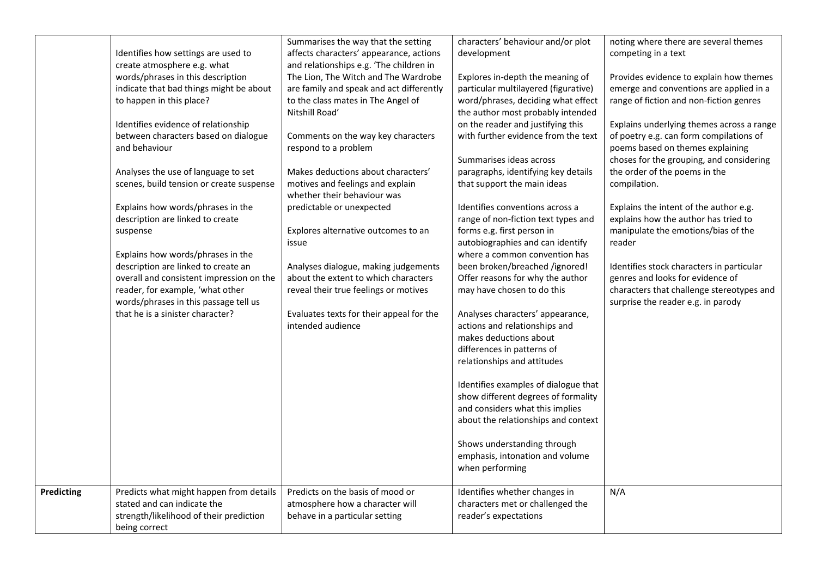|            | Identifies how settings are used to<br>create atmosphere e.g. what<br>words/phrases in this description<br>indicate that bad things might be about<br>to happen in this place?<br>Identifies evidence of relationship<br>between characters based on dialogue<br>and behaviour<br>Analyses the use of language to set<br>scenes, build tension or create suspense<br>Explains how words/phrases in the<br>description are linked to create<br>suspense<br>Explains how words/phrases in the<br>description are linked to create an<br>overall and consistent impression on the<br>reader, for example, 'what other<br>words/phrases in this passage tell us<br>that he is a sinister character? | Summarises the way that the setting<br>affects characters' appearance, actions<br>and relationships e.g. 'The children in<br>The Lion, The Witch and The Wardrobe<br>are family and speak and act differently<br>to the class mates in The Angel of<br>Nitshill Road'<br>Comments on the way key characters<br>respond to a problem<br>Makes deductions about characters'<br>motives and feelings and explain<br>whether their behaviour was<br>predictable or unexpected<br>Explores alternative outcomes to an<br>issue<br>Analyses dialogue, making judgements<br>about the extent to which characters<br>reveal their true feelings or motives<br>Evaluates texts for their appeal for the<br>intended audience | characters' behaviour and/or plot<br>development<br>Explores in-depth the meaning of<br>particular multilayered (figurative)<br>word/phrases, deciding what effect<br>the author most probably intended<br>on the reader and justifying this<br>with further evidence from the text<br>Summarises ideas across<br>paragraphs, identifying key details<br>that support the main ideas<br>Identifies conventions across a<br>range of non-fiction text types and<br>forms e.g. first person in<br>autobiographies and can identify<br>where a common convention has<br>been broken/breached /ignored!<br>Offer reasons for why the author<br>may have chosen to do this<br>Analyses characters' appearance,<br>actions and relationships and<br>makes deductions about<br>differences in patterns of<br>relationships and attitudes<br>Identifies examples of dialogue that<br>show different degrees of formality<br>and considers what this implies<br>about the relationships and context | noting where there are several themes<br>competing in a text<br>Provides evidence to explain how themes<br>emerge and conventions are applied in a<br>range of fiction and non-fiction genres<br>Explains underlying themes across a range<br>of poetry e.g. can form compilations of<br>poems based on themes explaining<br>choses for the grouping, and considering<br>the order of the poems in the<br>compilation.<br>Explains the intent of the author e.g.<br>explains how the author has tried to<br>manipulate the emotions/bias of the<br>reader<br>Identifies stock characters in particular<br>genres and looks for evidence of<br>characters that challenge stereotypes and<br>surprise the reader e.g. in parody |
|------------|-------------------------------------------------------------------------------------------------------------------------------------------------------------------------------------------------------------------------------------------------------------------------------------------------------------------------------------------------------------------------------------------------------------------------------------------------------------------------------------------------------------------------------------------------------------------------------------------------------------------------------------------------------------------------------------------------|---------------------------------------------------------------------------------------------------------------------------------------------------------------------------------------------------------------------------------------------------------------------------------------------------------------------------------------------------------------------------------------------------------------------------------------------------------------------------------------------------------------------------------------------------------------------------------------------------------------------------------------------------------------------------------------------------------------------|--------------------------------------------------------------------------------------------------------------------------------------------------------------------------------------------------------------------------------------------------------------------------------------------------------------------------------------------------------------------------------------------------------------------------------------------------------------------------------------------------------------------------------------------------------------------------------------------------------------------------------------------------------------------------------------------------------------------------------------------------------------------------------------------------------------------------------------------------------------------------------------------------------------------------------------------------------------------------------------------|-------------------------------------------------------------------------------------------------------------------------------------------------------------------------------------------------------------------------------------------------------------------------------------------------------------------------------------------------------------------------------------------------------------------------------------------------------------------------------------------------------------------------------------------------------------------------------------------------------------------------------------------------------------------------------------------------------------------------------|
|            |                                                                                                                                                                                                                                                                                                                                                                                                                                                                                                                                                                                                                                                                                                 |                                                                                                                                                                                                                                                                                                                                                                                                                                                                                                                                                                                                                                                                                                                     |                                                                                                                                                                                                                                                                                                                                                                                                                                                                                                                                                                                                                                                                                                                                                                                                                                                                                                                                                                                            |                                                                                                                                                                                                                                                                                                                                                                                                                                                                                                                                                                                                                                                                                                                               |
|            |                                                                                                                                                                                                                                                                                                                                                                                                                                                                                                                                                                                                                                                                                                 |                                                                                                                                                                                                                                                                                                                                                                                                                                                                                                                                                                                                                                                                                                                     | Shows understanding through<br>emphasis, intonation and volume<br>when performing                                                                                                                                                                                                                                                                                                                                                                                                                                                                                                                                                                                                                                                                                                                                                                                                                                                                                                          |                                                                                                                                                                                                                                                                                                                                                                                                                                                                                                                                                                                                                                                                                                                               |
| Predicting | Predicts what might happen from details<br>stated and can indicate the<br>strength/likelihood of their prediction<br>being correct                                                                                                                                                                                                                                                                                                                                                                                                                                                                                                                                                              | Predicts on the basis of mood or<br>atmosphere how a character will<br>behave in a particular setting                                                                                                                                                                                                                                                                                                                                                                                                                                                                                                                                                                                                               | Identifies whether changes in<br>characters met or challenged the<br>reader's expectations                                                                                                                                                                                                                                                                                                                                                                                                                                                                                                                                                                                                                                                                                                                                                                                                                                                                                                 | N/A                                                                                                                                                                                                                                                                                                                                                                                                                                                                                                                                                                                                                                                                                                                           |